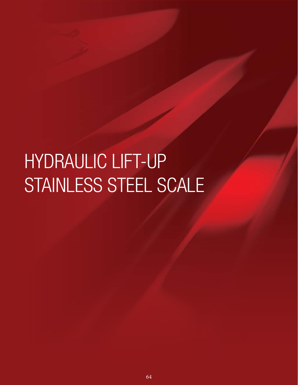# HYDRAULIC LIFT-UP STAINLESS STEEL SCALE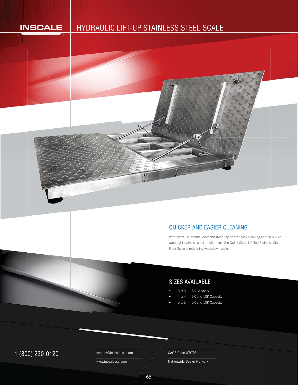#### **INSCALE**

# HYDRAULIC LIFT-UP STAINLESS STEEL SCALE S



ſe

With hydraulic manual diamond-tread top lifts for easy cleaning and NEMA 4X W watertight stainless steel junction box, the Quick Clean Lift Top Stainless Steel w Floor Scale is redefining washdown scales. F

### SIZES AVAILABLE

- 3' x 3' 5K Capacity
- 4' x 4' 5K and 10K Capacity
- 5' x 5' 5K and 10K Capacity

# 1 (800) 230-0120 Contact@inscaleusa.com CAGE Code 07GT5

contact@inscaleusa.com

www.inscaleusa.com

Nationwide Dealer Network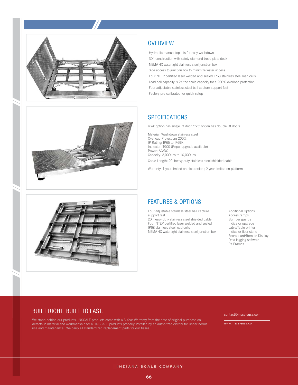

#### **OVERVIEW**

Hydraulic manual top lifts for easy washdown 304 construction with safety diamond tread plate deck NEMA 4X watertight stainless steel junction box Side access to junction box to minimize water access Four NTEP certified laser welded and sealed IP68 stainless steel load cells Load cell capacity is 2X the scale capacity for a 200% overload protection Four adjustable stainless steel ball capture support feet Factory pre-calibrated for quick setup

#### **SPECIFICATIONS**

4'x4' option has single lift door, 5'x5' option has double lift doors

Material: Washdown stainless steel Overload Protection: 200% IP Rating: IP65 to IP69K Indicator: T900 (Repel upgrade available) Power: AC/DC Capacity: 2,000 lbs to 10,000 lbs Cable Length: 20' heavy duty stainless steel shielded cable

Warranty: 1 year limited on electronics ; 2 year limited on platform



#### FEATURES & OPTIONS

Four adjustable stainless steel ball capture support feet 20' heavy duty stainless steel shielded cable Four NTEP certified laser welded and sealed IP68 stainless steel load cells NEMA 4X watertight stainless steel junction box Additional Options Access ramps Bumper guards Indicator upgrade Lable/Table printer Indicator floor stand Scoreboard/Remote Display Data logging software Pit Frames

#### BUILT RIGHT. BUILT TO LAST.

We stand behind our products. INSCALE products come with a 3-Year Warranty from the date of original purchase on defects in material and workmanship for all INSCALE products properly installed by an authorized distributor under normal use and maintenance. We carry all standardized replacement parts for our bases.

contact@inscaleusa.com

www.inscaleusa.com

INDIANA SCALE COMPANY